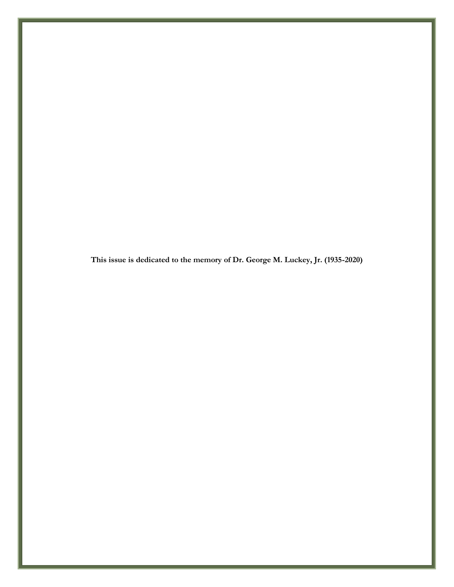**This issue is dedicated to the memory of Dr. George M. Luckey, Jr. (1935-2020)**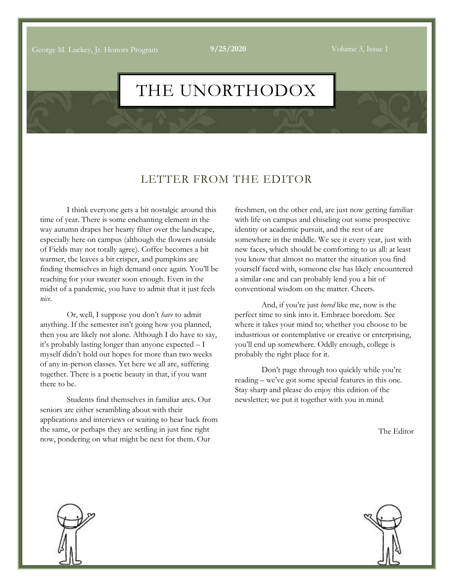George M. Luckey, Jr. Honors Program **9/25/2020** Volume 3, Issue 1

# THE UNORTHODOX

### LETTER FROM THE EDITOR

I think everyone gets a bit nostalgic around this time of year. There is some enchanting element in the way autumn drapes her hearty filter over the landscape, especially here on campus (although the flowers outside of Fields may not totally agree). Coffee becomes a bit warmer, the leaves a bit crisper, and pumpkins are finding themselves in high demand once again. You'll be reaching for your sweater soon enough. Even in the midst of a pandemic, you have to admit that it just feels *nice*.

Or, well, I suppose you don't *have* to admit anything. If the semester isn't going how you planned, then you are likely not alone. Although I do have to say, it's probably lasting longer than anyone expected – I myself didn't hold out hopes for more than two weeks of any in-person classes. Yet here we all are, suffering together. There is a poetic beauty in that, if you want there to be.

Students find themselves in familiar arcs. Our seniors are either scrambling about with their applications and interviews or waiting to hear back from the same, or perhaps they are settling in just fine right now, pondering on what might be next for them. Our

freshmen, on the other end, are just now getting familiar with life on campus and chiseling out some prospective identity or academic pursuit, and the rest of are somewhere in the middle. We see it every year, just with new faces, which should be comforting to us all: at least you know that almost no matter the situation you find yourself faced with, someone else has likely encountered a similar one and can probably lend you a bit of conventional wisdom on the matter. Cheers.

And, if you're just *bored* like me, now is the perfect time to sink into it. Embrace boredom. See where it takes your mind to; whether you choose to be industrious or contemplative or creative or enterprising, you'll end up somewhere. Oddly enough, college is probably the right place for it.

Don't page through too quickly while you're reading – we've got some special features in this one. Stay sharp and please do enjoy this edition of the newsletter; we put it together with you in mind.

The Editor



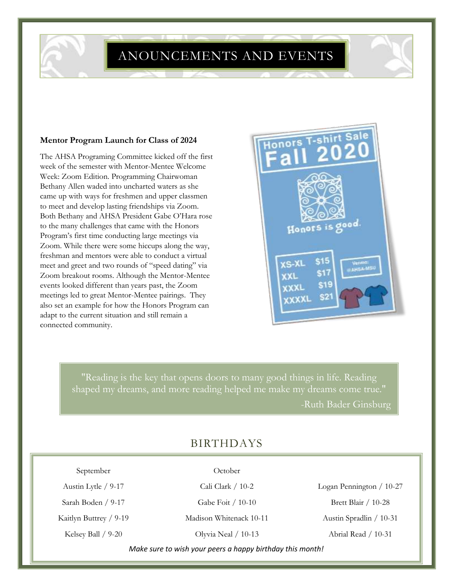ANOUNCEMENTS AND EVENTS

#### **Mentor Program Launch for Class of 2024**

The AHSA Programing Committee kicked off the first week of the semester with Mentor-Mentee Welcome Week: Zoom Edition. Programming Chairwoman Bethany Allen waded into uncharted waters as she came up with ways for freshmen and upper classmen to meet and develop lasting friendships via Zoom. Both Bethany and AHSA President Gabe O'Hara rose to the many challenges that came with the Honors Program's first time conducting large meetings via Zoom. While there were some hiccups along the way, freshman and mentors were able to conduct a virtual meet and greet and two rounds of "speed dating" via Zoom breakout rooms. Although the Mentor-Mentee events looked different than years past, the Zoom meetings led to great Mentor-Mentee pairings. They also set an example for how the Honors Program can adapt to the current situation and still remain a connected community.



"Reading is the key that opens doors to many good things in life. Reading shaped my dreams, and more reading helped me make my dreams come true." -Ruth Bader Ginsburg

## BIRTHDAYS

September

Austin Lytle / 9-17 Sarah Boden / 9-17

Kaitlyn Buttrey / 9-19

Kelsey Ball / 9-20

October

Cali Clark / 10-2 Gabe Foit / 10-10

Madison Whitenack 10-11

Olyvia Neal / 10-13

Logan Pennington / 10-27 Brett Blair / 10-28 Austin Spradlin / 10-31 Abrial Read / 10-31

*Make sure to wish your peers a happy birthday this month!*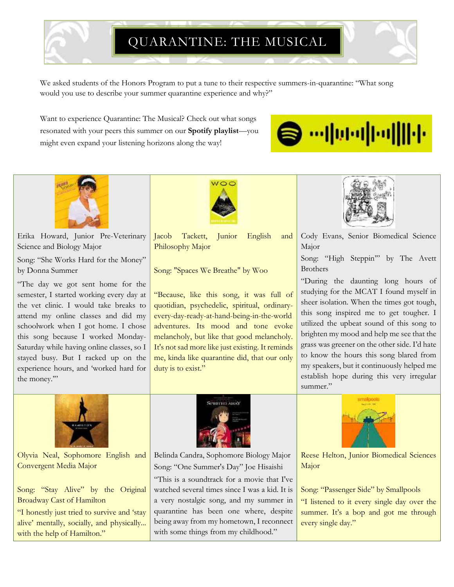# QUARANTINE: THE MUSICAL

We asked students of the Honors Program to put a tune to their respective summers-in-quarantine: "What song would you use to describe your summer quarantine experience and why?"

Want to experience Quarantine: The Musical? Check out what songs resonated with your peers this summer on our **Spotify playlist**—you might even expand your listening horizons along the way!





Erika Howard, Junior Pre-Veterinary Science and Biology Major

Song: "She Works Hard for the Money" by Donna Summer

"The day we got sent home for the semester, I started working every day at the vet clinic. I would take breaks to attend my online classes and did my schoolwork when I got home. I chose this song because I worked Monday-Saturday while having online classes, so I stayed busy. But I racked up on the experience hours, and 'worked hard for the money.'"



Olyvia Neal, Sophomore English and Convergent Media Major

Song: "Stay Alive" by the Original Broadway Cast of Hamilton

"I honestly just tried to survive and 'stay alive' mentally, socially, and physically... with the help of Hamilton."



Jacob Tackett, Junior English and Philosophy Major

Song: "Spaces We Breathe" by Woo

"Because, like this song, it was full of quotidian, psychedelic, spiritual, ordinaryevery-day-ready-at-hand-being-in-the-world adventures. Its mood and tone evoke melancholy, but like that good melancholy. It's not sad more like just existing. It reminds me, kinda like quarantine did, that our only duty is to exist."



Cody Evans, Senior Biomedical Science Major

Song: "High Steppin'" by The Avett Brothers

"During the daunting long hours of studying for the MCAT I found myself in sheer isolation. When the times got tough, this song inspired me to get tougher. I utilized the upbeat sound of this song to brighten my mood and help me see that the grass was greener on the other side. I'd hate to know the hours this song blared from my speakers, but it continuously helped me establish hope during this very irregular summer."



Belinda Candra, Sophomore Biology Major Song: "One Summer's Day" Joe Hisaishi

"This is a soundtrack for a movie that I've watched several times since I was a kid. It is a very nostalgic song, and my summer in quarantine has been one where, despite being away from my hometown, I reconnect with some things from my childhood."



Reese Helton, Junior Biomedical Sciences Major

Song: "Passenger Side" by Smallpools "I listened to it every single day over the summer. It's a bop and got me through every single day."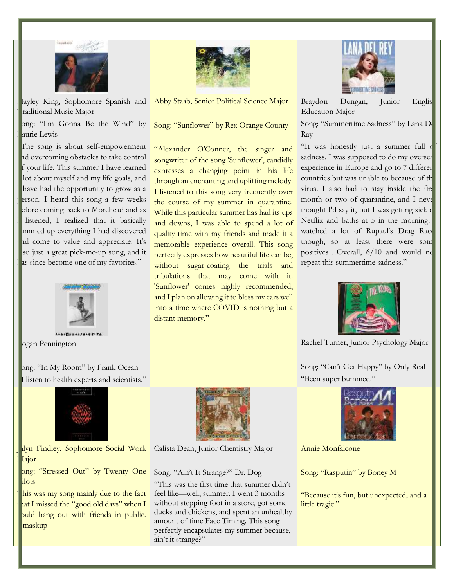

layley King, Sophomore Spanish and raditional Music Major

Song: "I'm Gonna Be the Wind" by aurie Lewis

The song is about self-empowerment and overcoming obstacles to take control f your life. This summer I have learned lot about myself and my life goals, and have had the opportunity to grow as a erson. I heard this song a few weeks efore coming back to Morehead and as listened, I realized that it basically ammed up everything I had discovered and come to value and appreciate. It's so just a great pick-me-up song, and it as since become one of my favorites!"



Logan Pennington

ong: "In My Room" by Frank Ocean listen to health experts and scientists."



Jalyn Findley, Sophomore Social Work Iajor

ong: "Stressed Out" by Twenty One ilots

his was my song mainly due to the fact hat I missed the "good old days" when I puld hang out with friends in public. maskup



Abby Staab, Senior Political Science Major

Song: "Sunflower" by Rex Orange County

"Alexander O'Conner, the singer and songwriter of the song 'Sunflower', candidly expresses a changing point in his life through an enchanting and uplifting melody. I listened to this song very frequently over the course of my summer in quarantine. While this particular summer has had its ups and downs, I was able to spend a lot of quality time with my friends and made it a memorable experience overall. This song perfectly expresses how beautiful life can be, without sugar-coating the trials and tribulations that may come with it. 'Sunflower' comes highly recommended, and I plan on allowing it to bless my ears well into a time where COVID is nothing but a distant memory."



Braydon Dungan, Junior Englis Education Major

Song: "Summertime Sadness" by Lana D Ray

"It was honestly just a summer full of sadness. I was supposed to do my oversea experience in Europe and go to 7 different countries but was unable to because of the virus. I also had to stay inside the first month or two of quarantine, and I never thought I'd say it, but I was getting sick of Netflix and baths at 5 in the morning. watched a lot of Rupaul's Drag Rac though, so at least there were som positives...Overall, 6/10 and would no repeat this summertime sadness."



Rachel Turner, Junior Psychology Major

Song: "Can't Get Happy" by Only Real "Been super bummed."



Calista Dean, Junior Chemistry Major

Song: "Ain't It Strange?" Dr. Dog

"This was the first time that summer didn't feel like—well, summer. I went 3 months without stepping foot in a store, got some ducks and chickens, and spent an unhealthy amount of time Face Timing. This song perfectly encapsulates my summer because, ain't it strange?"



Annie Monfalcone

Song: "Rasputin" by Boney M

"Because it's fun, but unexpected, and a little tragic."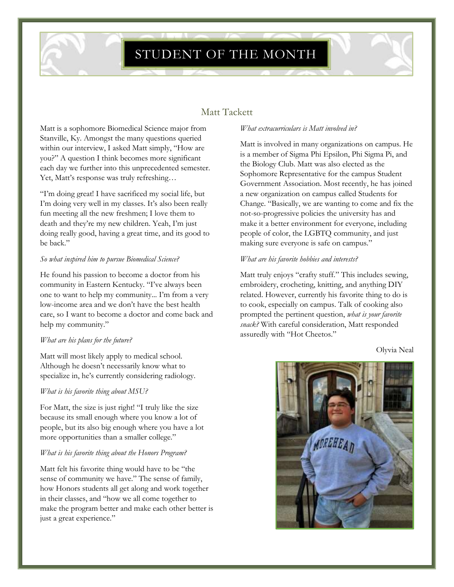## STUDENT OF THE MONTH

### Matt Tackett

Matt is a sophomore Biomedical Science major from Stanville, Ky. Amongst the many questions queried within our interview, I asked Matt simply, "How are you?" A question I think becomes more significant each day we further into this unprecedented semester. Yet, Matt's response was truly refreshing…

"I'm doing great! I have sacrificed my social life, but I'm doing very well in my classes. It's also been really fun meeting all the new freshmen; I love them to death and they're my new children. Yeah, I'm just doing really good, having a great time, and its good to be back."

#### *So what inspired him to pursue Biomedical Science?*

He found his passion to become a doctor from his community in Eastern Kentucky. "I've always been one to want to help my community... I'm from a very low-income area and we don't have the best health care, so I want to become a doctor and come back and help my community."

#### *What are his plans for the future?*

Matt will most likely apply to medical school. Although he doesn't necessarily know what to specialize in, he's currently considering radiology.

#### *What is his favorite thing about MSU?*

For Matt, the size is just right! "I truly like the size because its small enough where you know a lot of people, but its also big enough where you have a lot more opportunities than a smaller college."

#### *What is his favorite thing about the Honors Program?*

Matt felt his favorite thing would have to be "the sense of community we have." The sense of family, how Honors students all get along and work together in their classes, and "how we all come together to make the program better and make each other better is just a great experience."

#### *What extracurriculars is Matt involved in?*

Matt is involved in many organizations on campus. He is a member of Sigma Phi Epsilon, Phi Sigma Pi, and the Biology Club. Matt was also elected as the Sophomore Representative for the campus Student Government Association. Most recently, he has joined a new organization on campus called Students for Change. "Basically, we are wanting to come and fix the not-so-progressive policies the university has and make it a better environment for everyone, including people of color, the LGBTQ community, and just making sure everyone is safe on campus."

#### *What are his favorite hobbies and interests?*

Matt truly enjoys "crafty stuff." This includes sewing, embroidery, crocheting, knitting, and anything DIY related. However, currently his favorite thing to do is to cook, especially on campus. Talk of cooking also prompted the pertinent question, *what is your favorite snack?* With careful consideration, Matt responded assuredly with "Hot Cheetos."

Olyvia Neal

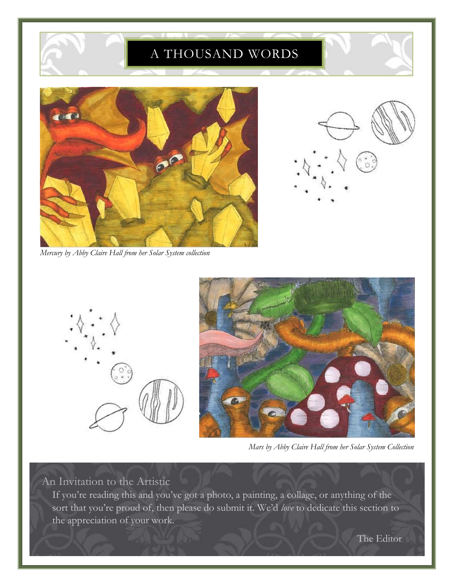## A THOUSAND WORDS



*Mercury by Abby Claire Hall from her Solar System collection* 



*Mars by Abby Claire Hall from her Solar System Collection*

An Invitation to the Artistic

If you're reading this and you've got a photo, a painting, a collage, or anything of the sort that you're proud of, then please do submit it. We'd *love* to dedicate this section to the appreciation of your work.

The Editor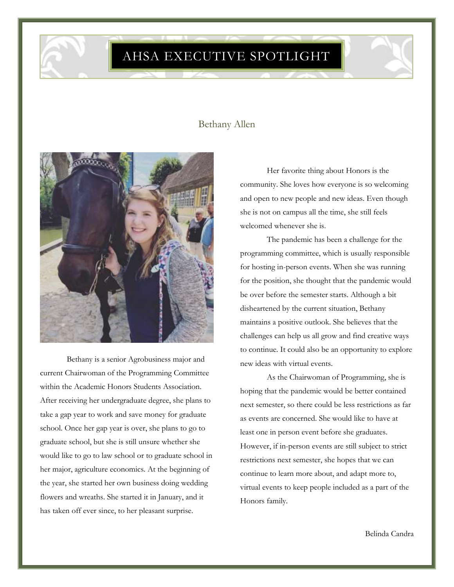AHSA EXECUTIVE SPOTLIGHT

### Bethany Allen



Bethany is a senior Agrobusiness major and current Chairwoman of the Programming Committee within the Academic Honors Students Association. After receiving her undergraduate degree, she plans to take a gap year to work and save money for graduate school. Once her gap year is over, she plans to go to graduate school, but she is still unsure whether she would like to go to law school or to graduate school in her major, agriculture economics. At the beginning of the year, she started her own business doing wedding flowers and wreaths. She started it in January, and it has taken off ever since, to her pleasant surprise.

Her favorite thing about Honors is the community. She loves how everyone is so welcoming and open to new people and new ideas. Even though she is not on campus all the time, she still feels welcomed whenever she is.

The pandemic has been a challenge for the programming committee, which is usually responsible for hosting in-person events. When she was running for the position, she thought that the pandemic would be over before the semester starts. Although a bit disheartened by the current situation, Bethany maintains a positive outlook. She believes that the challenges can help us all grow and find creative ways to continue. It could also be an opportunity to explore new ideas with virtual events.

As the Chairwoman of Programming, she is hoping that the pandemic would be better contained next semester, so there could be less restrictions as far as events are concerned. She would like to have at least one in person event before she graduates. However, if in-person events are still subject to strict restrictions next semester, she hopes that we can continue to learn more about, and adapt more to, virtual events to keep people included as a part of the Honors family.

Belinda Candra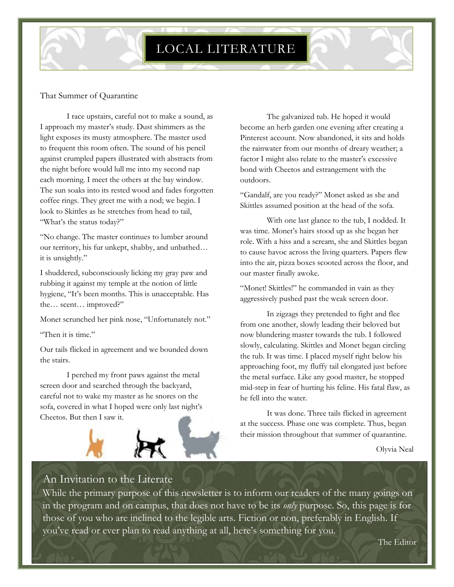#### That Summer of Quarantine

I race upstairs, careful not to make a sound, as I approach my master's study. Dust shimmers as the light exposes its musty atmosphere. The master used to frequent this room often. The sound of his pencil against crumpled papers illustrated with abstracts from the night before would lull me into my second nap each morning. I meet the others at the bay window. The sun soaks into its rested wood and fades forgotten coffee rings. They greet me with a nod; we begin. I look to Skittles as he stretches from head to tail, "What's the status today?"

"No change. The master continues to lumber around our territory, his fur unkept, shabby, and unbathed… it is unsightly."

I shuddered, subconsciously licking my gray paw and rubbing it against my temple at the notion of little hygiene, "It's been months. This is unacceptable. Has the… scent… improved?"

Monet scrunched her pink nose, "Unfortunately not."

"Then it is time."

Our tails flicked in agreement and we bounded down the stairs.

I perched my front paws against the metal screen door and searched through the backyard, careful not to wake my master as he snores on the sofa, covered in what I hoped were only last night's Cheetos. But then I saw it.



The galvanized tub. He hoped it would become an herb garden one evening after creating a Pinterest account. Now abandoned, it sits and holds the rainwater from our months of dreary weather; a factor I might also relate to the master's excessive bond with Cheetos and estrangement with the outdoors.

"Gandalf, are you ready?" Monet asked as she and Skittles assumed position at the head of the sofa.

With one last glance to the tub, I nodded. It was time. Monet's hairs stood up as she began her role. With a hiss and a scream, she and Skittles began to cause havoc across the living quarters. Papers flew into the air, pizza boxes scooted across the floor, and our master finally awoke.

"Monet! Skittles!" he commanded in vain as they aggressively pushed past the weak screen door.

In zigzags they pretended to fight and flee from one another, slowly leading their beloved but now blundering master towards the tub. I followed slowly, calculating. Skittles and Monet began circling the tub. It was time. I placed myself right below his approaching foot, my fluffy tail elongated just before the metal surface. Like any good master, he stopped mid-step in fear of hurting his feline. His fatal flaw, as he fell into the water.

It was done. Three tails flicked in agreement at the success. Phase one was complete. Thus, began their mission throughout that summer of quarantine.

Olyvia Neal

## An Invitation to the Literate

While the primary purpose of this newsletter is to inform our readers of the many goings on in the program and on campus, that does not have to be its *only* purpose. So, this page is for those of you who are inclined to the legible arts. Fiction or non, preferably in English. If you've read or ever plan to read anything at all, here's something for you.

The Editor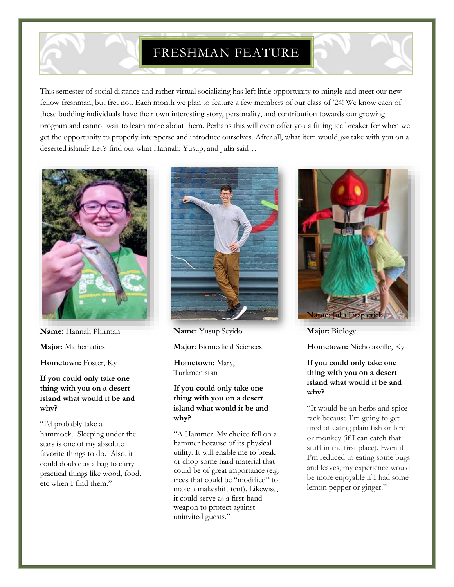## FRESHMAN FEATURE

This semester of social distance and rather virtual socializing has left little opportunity to mingle and meet our new fellow freshman, but fret not. Each month we plan to feature a few members of our class of '24! We know each of these budding individuals have their own interesting story, personality, and contribution towards our growing program and cannot wait to learn more about them. Perhaps this will even offer you a fitting ice breaker for when we get the opportunity to properly intersperse and introduce ourselves. After all, what item would *you* take with you on a deserted island? Let's find out what Hannah, Yusup, and Julia said…



**Name:** Hannah Phirman

**Major:** Mathematics

**Hometown:** Foster, Ky

**If you could only take one thing with you on a desert island what would it be and why?**

"I'd probably take a hammock. Sleeping under the stars is one of my absolute favorite things to do. Also, it could double as a bag to carry practical things like wood, food, etc when I find them."



**Name:** Yusup Seyido

**Major:** Biomedical Sciences

**Hometown:** Mary, Turkmenistan

#### **If you could only take one thing with you on a desert island what would it be and why?**

"A Hammer. My choice fell on a hammer because of its physical utility. It will enable me to break or chop some hard material that could be of great importance (e.g. trees that could be "modified" to make a makeshift tent). Likewise, it could serve as a first-hand weapon to protect against uninvited guests."



**Major:** Biology

**Hometown:** Nicholasville, Ky

#### **If you could only take one thing with you on a desert island what would it be and why?**

"It would be an herbs and spice rack because I'm going to get tired of eating plain fish or bird or monkey (if I can catch that stuff in the first place). Even if I'm reduced to eating some bugs and leaves, my experience would be more enjoyable if I had some lemon pepper or ginger."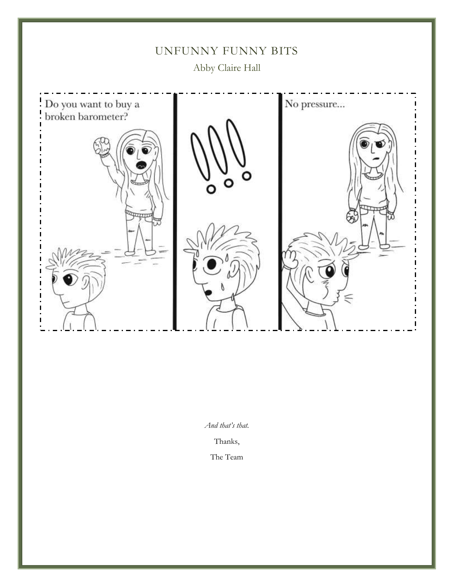

*And that's that.*

Thanks,

The Team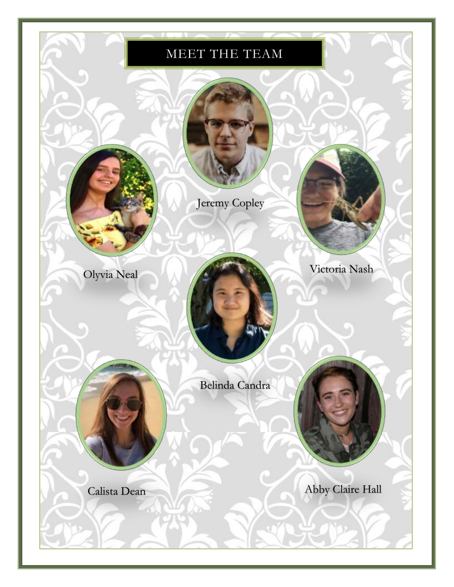